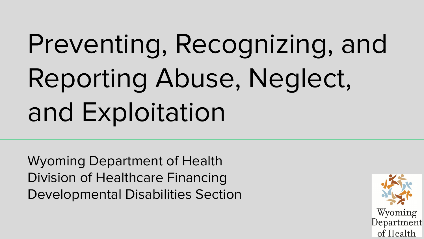# Preventing, Recognizing, and Reporting Abuse, Neglect, and Exploitation

Wyoming Department of Health Division of Healthcare Financing Developmental Disabilities Section

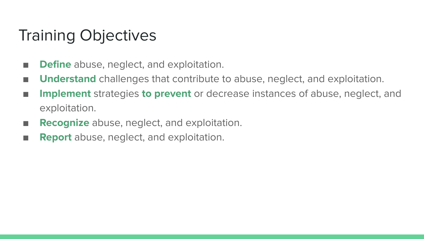#### Training Objectives

- **Define** abuse, neglect, and exploitation.
- **Understand** challenges that contribute to abuse, neglect, and exploitation.
- **Implement** strategies **to prevent** or decrease instances of abuse, neglect, and exploitation.
- **Recognize** abuse, neglect, and exploitation.
- **Report** abuse, neglect, and exploitation.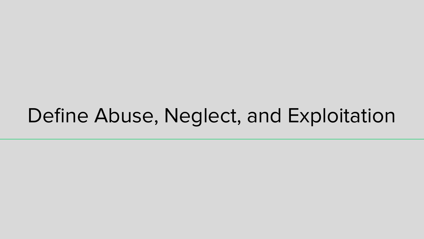## Define Abuse, Neglect, and Exploitation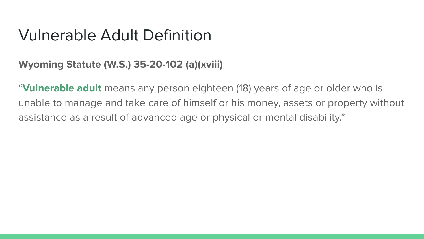#### Vulnerable Adult Definition

#### **Wyoming Statute (W.S.) 35-20-102 (a)(xviii)**

"**Vulnerable adult** means any person eighteen (18) years of age or older who is unable to manage and take care of himself or his money, assets or property without assistance as a result of advanced age or physical or mental disability."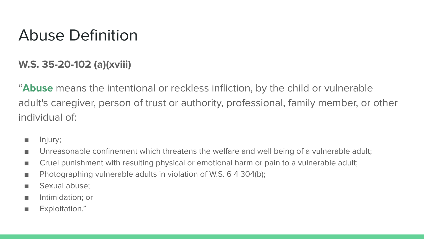#### Abuse Definition

#### **W.S. 35-20-102 (a)(xviii)**

"**Abuse** means the intentional or reckless infliction, by the child or vulnerable adult's caregiver, person of trust or authority, professional, family member, or other individual of:

- Injury;
- Unreasonable confinement which threatens the welfare and well being of a vulnerable adult;
- Cruel punishment with resulting physical or emotional harm or pain to a vulnerable adult;
- Photographing vulnerable adults in violation of W.S. 6 4 304(b);
- Sexual abuse:
- Intimidation; or
- Exploitation."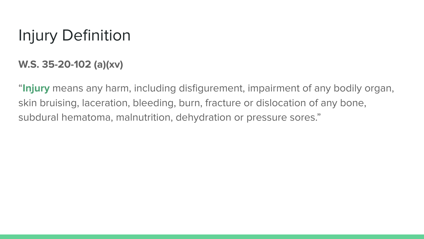## Injury Definition

#### **W.S. 35-20-102 (a)(xv)**

"**Injury** means any harm, including disfigurement, impairment of any bodily organ, skin bruising, laceration, bleeding, burn, fracture or dislocation of any bone, subdural hematoma, malnutrition, dehydration or pressure sores."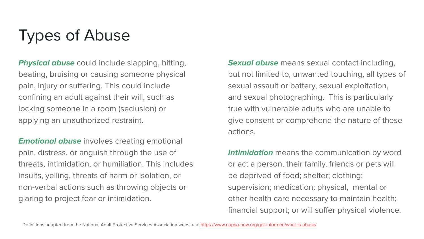### Types of Abuse

**Physical abuse** could include slapping, hitting, beating, bruising or causing someone physical pain, injury or suffering. This could include confining an adult against their will, such as locking someone in a room (seclusion) or applying an unauthorized restraint.

**Emotional abuse** involves creating emotional pain, distress, or anguish through the use of threats, intimidation, or humiliation. This includes insults, yelling, threats of harm or isolation, or non-verbal actions such as throwing objects or glaring to project fear or intimidation.

**Sexual abuse** means sexual contact including, but not limited to, unwanted touching, all types of sexual assault or battery, sexual exploitation, and sexual photographing. This is particularly true with vulnerable adults who are unable to give consent or comprehend the nature of these actions.

**Intimidation** means the communication by word or act a person, their family, friends or pets will be deprived of food; shelter; clothing; supervision; medication; physical, mental or other health care necessary to maintain health; financial support; or will suffer physical violence.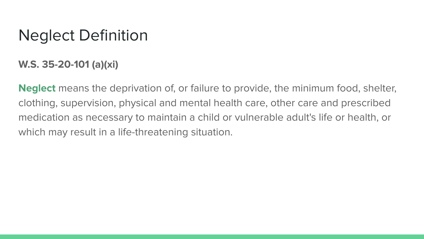#### Neglect Definition

**W.S. 35-20-101 (a)(xi)**

**Neglect** means the deprivation of, or failure to provide, the minimum food, shelter, clothing, supervision, physical and mental health care, other care and prescribed medication as necessary to maintain a child or vulnerable adult's life or health, or which may result in a life-threatening situation.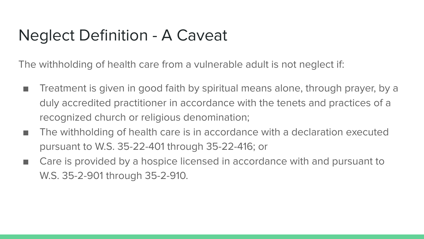#### Neglect Definition - A Caveat

The withholding of health care from a vulnerable adult is not neglect if:

- Treatment is given in good faith by spiritual means alone, through prayer, by a duly accredited practitioner in accordance with the tenets and practices of a recognized church or religious denomination;
- The withholding of health care is in accordance with a declaration executed pursuant to W.S. 35-22-401 through 35-22-416; or
- Care is provided by a hospice licensed in accordance with and pursuant to W.S. 35-2-901 through 35-2-910.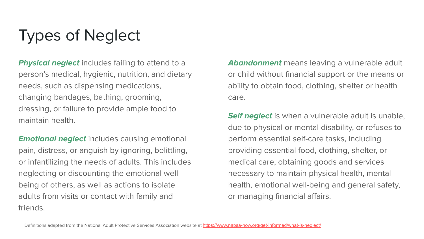## Types of Neglect

**Physical neglect** includes failing to attend to a person's medical, hygienic, nutrition, and dietary needs, such as dispensing medications, changing bandages, bathing, grooming, dressing, or failure to provide ample food to maintain health.

**Emotional neglect** includes causing emotional pain, distress, or anguish by ignoring, belittling, or infantilizing the needs of adults. This includes neglecting or discounting the emotional well being of others, as well as actions to isolate adults from visits or contact with family and friends.

**Abandonment** means leaving a vulnerable adult or child without financial support or the means or ability to obtain food, clothing, shelter or health care.

**Self neglect** is when a vulnerable adult is unable, due to physical or mental disability, or refuses to perform essential self-care tasks, including providing essential food, clothing, shelter, or medical care, obtaining goods and services necessary to maintain physical health, mental health, emotional well-being and general safety, or managing financial affairs.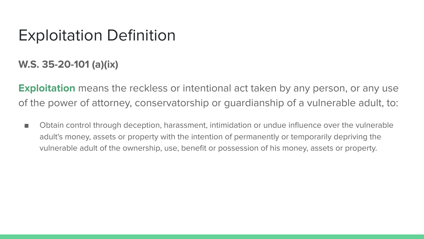#### Exploitation Definition

**W.S. 35-20-101 (a)(ix)**

**Exploitation** means the reckless or intentional act taken by any person, or any use of the power of attorney, conservatorship or guardianship of a vulnerable adult, to:

■ Obtain control through deception, harassment, intimidation or undue influence over the vulnerable adult's money, assets or property with the intention of permanently or temporarily depriving the vulnerable adult of the ownership, use, benefit or possession of his money, assets or property.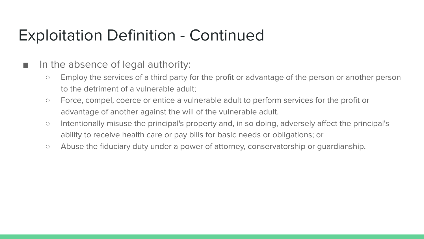#### Exploitation Definition - Continued

#### ■ In the absence of legal authority:

- Employ the services of a third party for the profit or advantage of the person or another person to the detriment of a vulnerable adult;
- Force, compel, coerce or entice a vulnerable adult to perform services for the profit or advantage of another against the will of the vulnerable adult.
- Intentionally misuse the principal's property and, in so doing, adversely affect the principal's ability to receive health care or pay bills for basic needs or obligations; or
- Abuse the fiduciary duty under a power of attorney, conservatorship or guardianship.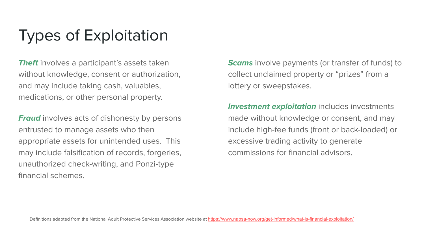### Types of Exploitation

**Theft** involves a participant's assets taken without knowledge, consent or authorization, and may include taking cash, valuables, medications, or other personal property.

**Fraud** involves acts of dishonesty by persons entrusted to manage assets who then appropriate assets for unintended uses. This may include falsification of records, forgeries, unauthorized check-writing, and Ponzi-type financial schemes.

**Scams** involve payments (or transfer of funds) to collect unclaimed property or "prizes" from a lottery or sweepstakes.

**Investment exploitation** includes investments made without knowledge or consent, and may include high-fee funds (front or back-loaded) or excessive trading activity to generate commissions for financial advisors.

Definitions adapted from the National Adult Protective Services Association website at <https://www.napsa-now.org/get-informed/what-is-financial-exploitation/>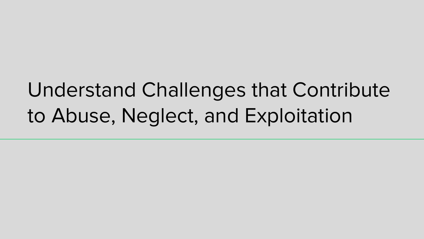## Understand Challenges that Contribute to Abuse, Neglect, and Exploitation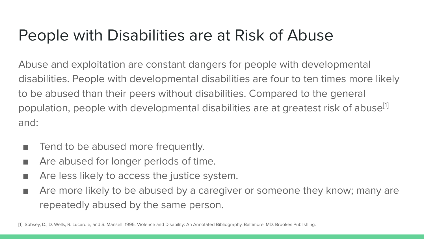#### People with Disabilities are at Risk of Abuse

Abuse and exploitation are constant dangers for people with developmental disabilities. People with developmental disabilities are four to ten times more likely to be abused than their peers without disabilities. Compared to the general population, people with developmental disabilities are at greatest risk of abuse<sup>[1]</sup> and:

- Tend to be abused more frequently.
- Are abused for longer periods of time.
- Are less likely to access the justice system.
- Are more likely to be abused by a caregiver or someone they know; many are repeatedly abused by the same person.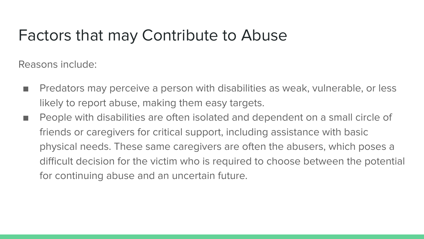#### Factors that may Contribute to Abuse

Reasons include:

- Predators may perceive a person with disabilities as weak, vulnerable, or less likely to report abuse, making them easy targets.
- People with disabilities are often isolated and dependent on a small circle of friends or caregivers for critical support, including assistance with basic physical needs. These same caregivers are often the abusers, which poses a difficult decision for the victim who is required to choose between the potential for continuing abuse and an uncertain future.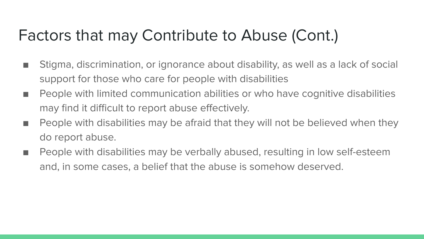#### Factors that may Contribute to Abuse (Cont.)

- Stigma, discrimination, or ignorance about disability, as well as a lack of social support for those who care for people with disabilities
- People with limited communication abilities or who have cognitive disabilities may find it difficult to report abuse effectively.
- People with disabilities may be afraid that they will not be believed when they do report abuse.
- People with disabilities may be verbally abused, resulting in low self-esteem and, in some cases, a belief that the abuse is somehow deserved.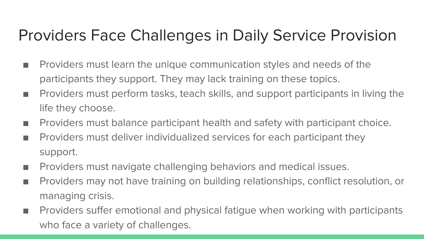### Providers Face Challenges in Daily Service Provision

- Providers must learn the unique communication styles and needs of the participants they support. They may lack training on these topics.
- Providers must perform tasks, teach skills, and support participants in living the life they choose.
- Providers must balance participant health and safety with participant choice.
- Providers must deliver individualized services for each participant they support.
- Providers must navigate challenging behaviors and medical issues.
- Providers may not have training on building relationships, conflict resolution, or managing crisis.
- Providers suffer emotional and physical fatigue when working with participants who face a variety of challenges.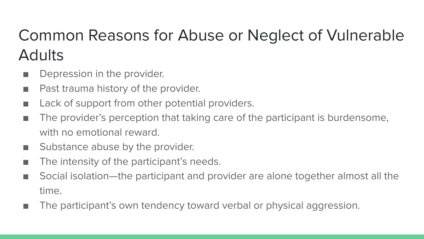## Common Reasons for Abuse or Neglect of Vulnerable **Adults**

- Depression in the provider.
- Past trauma history of the provider.
- Lack of support from other potential providers.
- The provider's perception that taking care of the participant is burdensome, with no emotional reward.
- Substance abuse by the provider.
- The intensity of the participant's needs.
- Social isolation—the participant and provider are alone together almost all the time.
- The participant's own tendency toward verbal or physical aggression.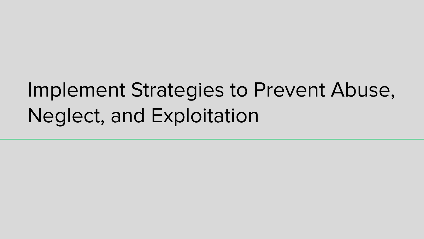## Implement Strategies to Prevent Abuse, Neglect, and Exploitation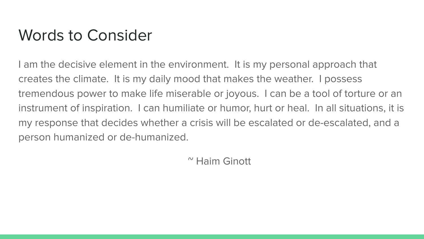#### Words to Consider

I am the decisive element in the environment. It is my personal approach that creates the climate. It is my daily mood that makes the weather. I possess tremendous power to make life miserable or joyous. I can be a tool of torture or an instrument of inspiration. I can humiliate or humor, hurt or heal. In all situations, it is my response that decides whether a crisis will be escalated or de-escalated, and a person humanized or de-humanized.

~ Haim Ginott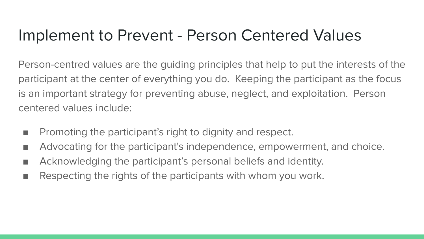#### Implement to Prevent - Person Centered Values

Person-centred values are the guiding principles that help to put the interests of the participant at the center of everything you do. Keeping the participant as the focus is an important strategy for preventing abuse, neglect, and exploitation. Person centered values include:

- Promoting the participant's right to dignity and respect.
- Advocating for the participant's independence, empowerment, and choice.
- Acknowledging the participant's personal beliefs and identity.
- Respecting the rights of the participants with whom you work.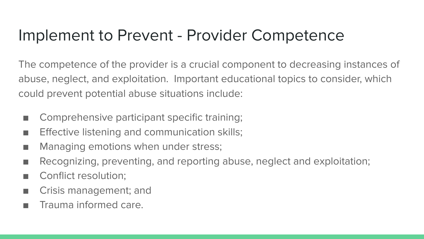#### Implement to Prevent - Provider Competence

The competence of the provider is a crucial component to decreasing instances of abuse, neglect, and exploitation. Important educational topics to consider, which could prevent potential abuse situations include:

- Comprehensive participant specific training;
- Effective listening and communication skills;
- Managing emotions when under stress;
- Recognizing, preventing, and reporting abuse, neglect and exploitation;
- Conflict resolution:
- Crisis management; and
- Trauma informed care.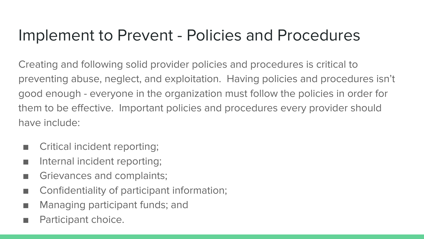#### Implement to Prevent - Policies and Procedures

Creating and following solid provider policies and procedures is critical to preventing abuse, neglect, and exploitation. Having policies and procedures isn't good enough - everyone in the organization must follow the policies in order for them to be effective. Important policies and procedures every provider should have include:

- Critical incident reporting;
- Internal incident reporting;
- Grievances and complaints;
- Confidentiality of participant information;
- Managing participant funds; and
- Participant choice.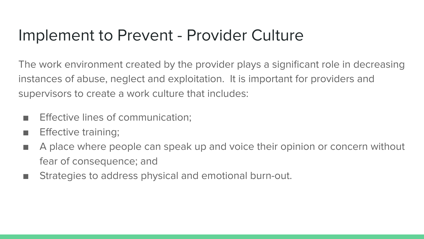#### Implement to Prevent - Provider Culture

The work environment created by the provider plays a significant role in decreasing instances of abuse, neglect and exploitation. It is important for providers and supervisors to create a work culture that includes:

- Effective lines of communication:
- Effective training;
- A place where people can speak up and voice their opinion or concern without fear of consequence; and
- Strategies to address physical and emotional burn-out.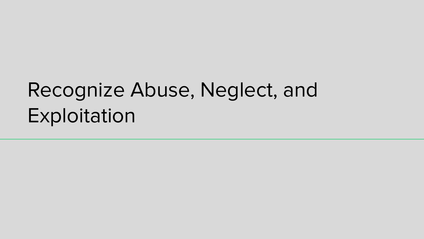## Recognize Abuse, Neglect, and Exploitation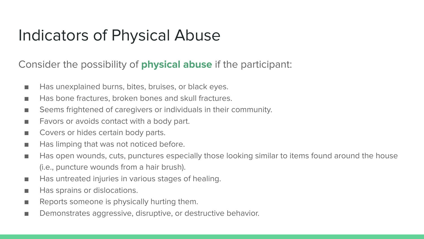#### Indicators of Physical Abuse

#### Consider the possibility of **physical abuse** if the participant:

- Has unexplained burns, bites, bruises, or black eyes.
- Has bone fractures, broken bones and skull fractures.
- Seems frightened of caregivers or individuals in their community.
- Favors or avoids contact with a body part.
- Covers or hides certain body parts.
- Has limping that was not noticed before.
- Has open wounds, cuts, punctures especially those looking similar to items found around the house (i.e., puncture wounds from a hair brush).
- Has untreated injuries in various stages of healing.
- Has sprains or dislocations.
- Reports someone is physically hurting them.
- Demonstrates aggressive, disruptive, or destructive behavior.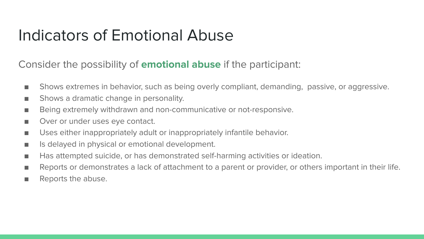#### Indicators of Emotional Abuse

Consider the possibility of **emotional abuse** if the participant:

- Shows extremes in behavior, such as being overly compliant, demanding, passive, or aggressive.
- Shows a dramatic change in personality.
- Being extremely withdrawn and non-communicative or not-responsive.
- Over or under uses eye contact.
- Uses either inappropriately adult or inappropriately infantile behavior.
- Is delayed in physical or emotional development.
- Has attempted suicide, or has demonstrated self-harming activities or ideation.
- Reports or demonstrates a lack of attachment to a parent or provider, or others important in their life.
- Reports the abuse.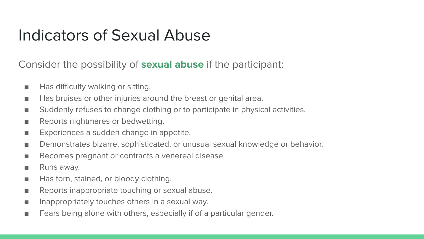#### Indicators of Sexual Abuse

#### Consider the possibility of **sexual abuse** if the participant:

- Has difficulty walking or sitting.
- Has bruises or other injuries around the breast or genital area.
- Suddenly refuses to change clothing or to participate in physical activities.
- Reports nightmares or bedwetting.
- Experiences a sudden change in appetite.
- Demonstrates bizarre, sophisticated, or unusual sexual knowledge or behavior.
- Becomes pregnant or contracts a venereal disease.
- Runs away.
- Has torn, stained, or bloody clothing.
- Reports inappropriate touching or sexual abuse.
- Inappropriately touches others in a sexual way.
- Fears being alone with others, especially if of a particular gender.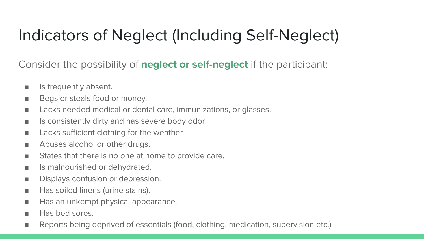### Indicators of Neglect (Including Self-Neglect)

Consider the possibility of **neglect or self-neglect** if the participant:

- Is frequently absent.
- Begs or steals food or money.
- Lacks needed medical or dental care, immunizations, or glasses.
- Is consistently dirty and has severe body odor.
- Lacks sufficient clothing for the weather.
- Abuses alcohol or other drugs.
- States that there is no one at home to provide care.
- Is malnourished or dehydrated.
- Displays confusion or depression.
- Has soiled linens (urine stains).
- Has an unkempt physical appearance.
- Has bed sores.
- Reports being deprived of essentials (food, clothing, medication, supervision etc.)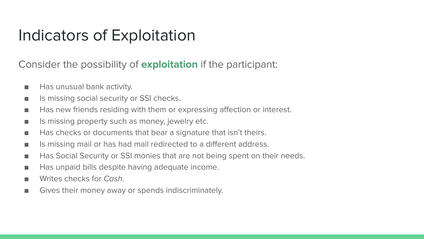#### Indicators of Exploitation

Consider the possibility of **exploitation** if the participant:

- Has unusual bank activity.
- Is missing social security or SSI checks.
- Has new friends residing with them or expressing affection or interest.
- Is missing property such as money, jewelry etc.
- Has checks or documents that bear a signature that isn't theirs.
- Is missing mail or has had mail redirected to a different address.
- Has Social Security or SSI monies that are not being spent on their needs.
- Has unpaid bills despite having adequate income.
- Writes checks for Cash.
- Gives their money away or spends indiscriminately.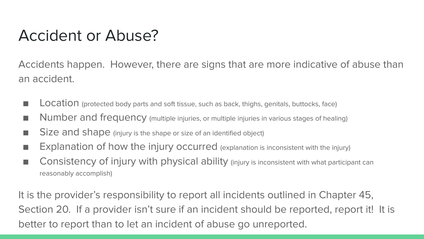#### Accident or Abuse?

Accidents happen. However, there are signs that are more indicative of abuse than an accident.

- LOCAtion (protected body parts and soft tissue, such as back, thighs, genitals, buttocks, face)
- Number and frequency (multiple injuries, or multiple injuries in various stages of healing)
- Size and shape (injury is the shape or size of an identified object)
- Explanation of how the injury occurred (explanation is inconsistent with the injury)
- Consistency of injury with physical ability (injury is inconsistent with what participant can reasonably accomplish)

It is the provider's responsibility to report all incidents outlined in Chapter 45, Section 20. If a provider isn't sure if an incident should be reported, report it! It is better to report than to let an incident of abuse go unreported.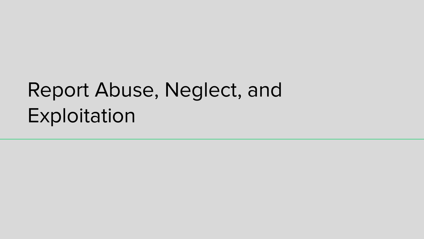## Report Abuse, Neglect, and Exploitation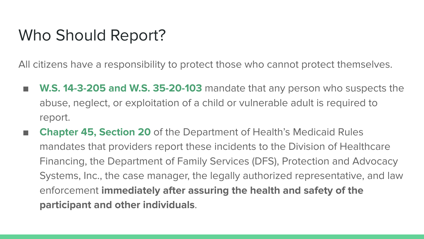#### Who Should Report?

All citizens have a responsibility to protect those who cannot protect themselves.

- **W.S. 14-3-205 and W.S. 35-20-103** mandate that any person who suspects the abuse, neglect, or exploitation of a child or vulnerable adult is required to report.
- **Chapter 45, Section 20** of the Department of Health's Medicaid Rules mandates that providers report these incidents to the Division of Healthcare Financing, the Department of Family Services (DFS), Protection and Advocacy Systems, Inc., the case manager, the legally authorized representative, and law enforcement **immediately after assuring the health and safety of the participant and other individuals**.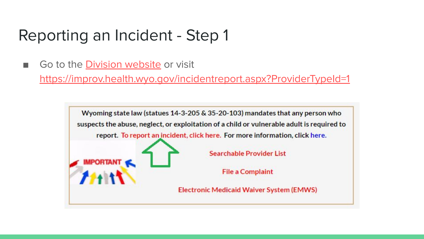■ Go to the [Division website](https://health.wyo.gov/healthcarefin/dd/) or visit

<https://improv.health.wyo.gov/incidentreport.aspx?ProviderTypeId=1>

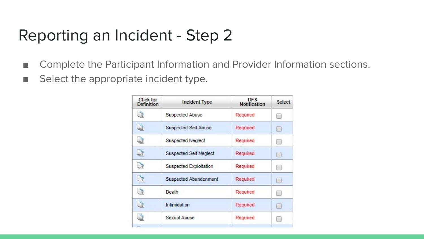- Complete the Participant Information and Provider Information sections.
- Select the appropriate incident type.

| <b>Incident Type</b>          | <b>DFS</b><br>Notification | <b>Select</b><br>围 |  |
|-------------------------------|----------------------------|--------------------|--|
| Suspected Abuse               | Required                   |                    |  |
| Suspected Self Abuse          | Required                   | u                  |  |
| <b>Suspected Neglect</b>      | Required                   | ER.                |  |
| <b>Suspected Self Neglect</b> | Required                   | le.                |  |
| Suspected Exploitation        | Required                   | n                  |  |
| Suspected Abandonment         | Required                   | u                  |  |
| Death                         | Required                   | u                  |  |
| <b>Intimidation</b>           | Required                   | D.                 |  |
| Sexual Abuse                  | Required                   | <b>FB</b>          |  |
|                               |                            |                    |  |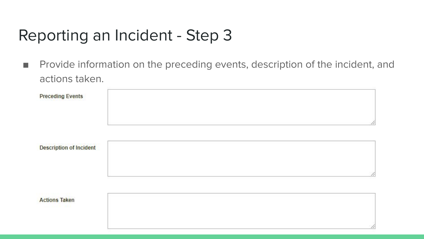■ Provide information on the preceding events, description of the incident, and actions taken.

| <b>Preceding Events</b>        |    |
|--------------------------------|----|
|                                | 4  |
| <b>Description of Incident</b> |    |
|                                | 11 |
| <b>Actions Taken</b>           | 4  |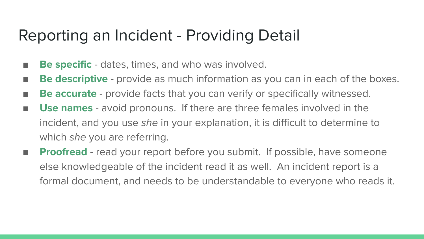#### Reporting an Incident - Providing Detail

- **Be specific** dates, times, and who was involved.
- **Be descriptive** provide as much information as you can in each of the boxes.
- **Be accurate** provide facts that you can verify or specifically witnessed.
- Use names avoid pronouns. If there are three females involved in the incident, and you use she in your explanation, it is difficult to determine to which she you are referring.
- **Proofread** read your report before you submit. If possible, have someone else knowledgeable of the incident read it as well. An incident report is a formal document, and needs to be understandable to everyone who reads it.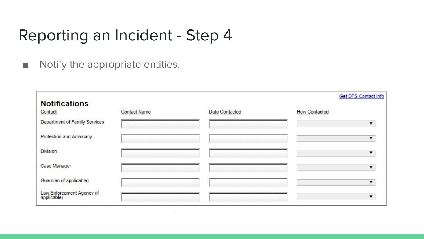■ Notify the appropriate entities.

|                                           |                     |                | <b>Get DFS Contact Info</b> |
|-------------------------------------------|---------------------|----------------|-----------------------------|
| <b>Notifications</b>                      |                     |                |                             |
| Contact                                   | <b>Contact Name</b> | Date Contacted | <b>How Contacted</b>        |
| Department of Family Services             |                     |                |                             |
| Protection and Advocacy                   |                     |                |                             |
| <b>Division</b>                           |                     |                |                             |
| Case Manager                              |                     |                |                             |
| Guardian (if applicable)                  |                     |                |                             |
| Law Enforcement Agency (if<br>applicable) |                     |                |                             |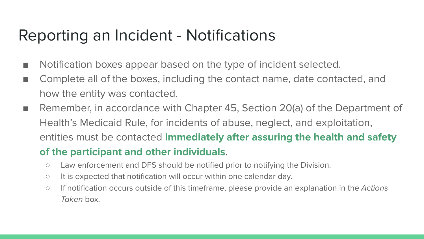#### Reporting an Incident - Notifications

- Notification boxes appear based on the type of incident selected.
- Complete all of the boxes, including the contact name, date contacted, and how the entity was contacted.
- Remember, in accordance with Chapter 45, Section 20(a) of the Department of Health's Medicaid Rule, for incidents of abuse, neglect, and exploitation, entities must be contacted **immediately after assuring the health and safety**

#### **of the participant and other individuals**.

- Law enforcement and DFS should be notified prior to notifying the Division.
- It is expected that notification will occur within one calendar day.
- If notification occurs outside of this timeframe, please provide an explanation in the Actions Taken box.